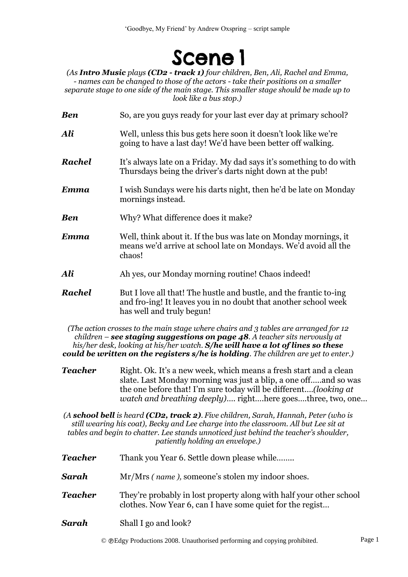## **Scene 1**

*(As Intro Music plays (CD2 - track 1) four children, Ben, Ali, Rachel and Emma, - names can be changed to those of the actors - take their positions on a smaller separate stage to one side of the main stage. This smaller stage should be made up to look like a bus stop.)*

**Ben** So, are you guys ready for your last ever day at primary school? Ali Well, unless this bus gets here soon it doesn't look like we're going to have a last day! We'd have been better off walking. *Rachel* It's always late on a Friday. My dad says it's something to do with Thursdays being the driver's darts night down at the pub! *Emma* I wish Sundays were his darts night, then he'd be late on Monday mornings instead. **Ben** Why? What difference does it make? *Emma* Well, think about it. If the bus was late on Monday mornings, it means we'd arrive at school late on Mondays. We'd avoid all the chaos! *Ali* Ah yes, our Monday morning routine! Chaos indeed! *Rachel* But I love all that! The hustle and bustle, and the frantic to-ing and fro-ing! It leaves you in no doubt that another school week has well and truly begun!

*(The action crosses to the main stage where chairs and 3 tables are arranged for 12 children – see staging suggestions on page 48. A teacher sits nervously at his/her desk, looking at his/her watch. S/he will have a lot of lines so these could be written on the registers s/he is holding. The children are yet to enter.)*

*Teacher* Right. Ok. It's a new week, which means a fresh start and a clean slate. Last Monday morning was just a blip, a one off…..and so was the one before that! I'm sure today will be different.…*(looking at watch and breathing deeply)*…. right….here goes….three, two, one…

*(A school bell is heard (CD2, track 2). Five children, Sarah, Hannah, Peter (who is still wearing his coat), Becky and Lee charge into the classroom. All but Lee sit at tables and begin to chatter. Lee stands unnoticed just behind the teacher's shoulder, patiently holding an envelope.)*

- *Teacher* Thank you Year 6. Settle down please while........
- *Sarah* Mr/Mrs *( name ),* someone's stolen my indoor shoes.
- *Teacher* They're probably in lost property along with half your other school clothes. Now Year 6, can I have some quiet for the regist…
- *Sarah* Shall I go and look?

© Edgy Productions 2008. Unauthorised performing and copying prohibited. Page 1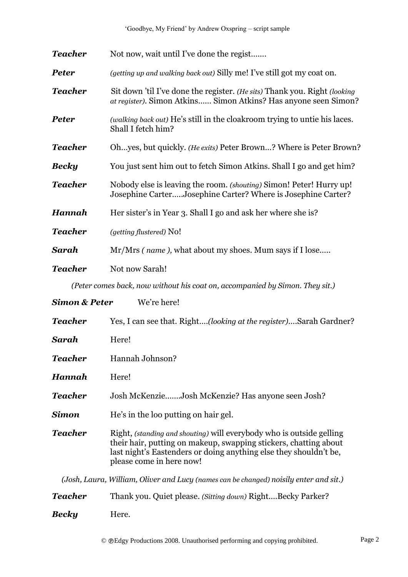| <b>Teacher</b>                                                               | Not now, wait until I've done the regist                                                                                                     |  |
|------------------------------------------------------------------------------|----------------------------------------------------------------------------------------------------------------------------------------------|--|
| <b>Peter</b>                                                                 | <i>(getting up and walking back out)</i> Silly me! I've still got my coat on.                                                                |  |
| <b>Teacher</b>                                                               | Sit down 'til I've done the register. (He sits) Thank you. Right (looking<br>at register). Simon Atkins Simon Atkins? Has anyone seen Simon? |  |
| <b>Peter</b>                                                                 | (walking back out) He's still in the cloakroom trying to untie his laces.<br>Shall I fetch him?                                              |  |
| <b>Teacher</b>                                                               | Ohyes, but quickly. (He exits) Peter Brown? Where is Peter Brown?                                                                            |  |
| <b>Becky</b>                                                                 | You just sent him out to fetch Simon Atkins. Shall I go and get him?                                                                         |  |
| <b>Teacher</b>                                                               | Nobody else is leaving the room. (shouting) Simon! Peter! Hurry up!<br>Josephine CarterJosephine Carter? Where is Josephine Carter?          |  |
| <b>Hannah</b>                                                                | Her sister's in Year 3. Shall I go and ask her where she is?                                                                                 |  |
| <b>Teacher</b>                                                               | (getting flustered) No!                                                                                                                      |  |
| Sarah                                                                        | Mr/Mrs (name), what about my shoes. Mum says if I lose                                                                                       |  |
| <b>Teacher</b>                                                               | Not now Sarah!                                                                                                                               |  |
| (Peter comes back, now without his coat on, accompanied by Simon. They sit.) |                                                                                                                                              |  |
| <b>Simon &amp; Peter</b>                                                     | We're here!                                                                                                                                  |  |
| <b>Teacher</b>                                                               | Yes, I can see that. Right(looking at the register)Sarah Gardner?                                                                            |  |

- *Hannah* Here!
- *Teacher* Josh McKenzie…….Josh McKenzie? Has anyone seen Josh?
- **Simon** He's in the loo putting on hair gel.

**Teacher** Right, *(standing and shouting)* will everybody who is outside gelling their hair, putting on makeup, swapping stickers, chatting about last night's Eastenders or doing anything else they shouldn't be, please come in here now!

*(Josh, Laura, William, Oliver and Lucy (names can be changed) noisily enter and sit.)*

| <b>Teacher</b> | Thank you. Quiet please. (Sitting down) RightBecky Parker? |
|----------------|------------------------------------------------------------|
| <b>Becky</b>   | Here.                                                      |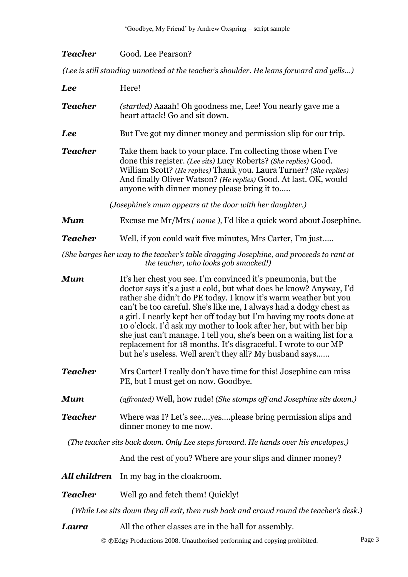| Teacher | Good. Lee Pearson? |
|---------|--------------------|
|---------|--------------------|

*(Lee is still standing unnoticed at the teacher's shoulder. He leans forward and yells...)* 

| <b>Lee</b>     | Here!                                                                                                                                                                                                                                                                                                                                                                                                                                                                                                                                                                                                                          |
|----------------|--------------------------------------------------------------------------------------------------------------------------------------------------------------------------------------------------------------------------------------------------------------------------------------------------------------------------------------------------------------------------------------------------------------------------------------------------------------------------------------------------------------------------------------------------------------------------------------------------------------------------------|
| <b>Teacher</b> | (startled) Aaaah! Oh goodness me, Lee! You nearly gave me a<br>heart attack! Go and sit down.                                                                                                                                                                                                                                                                                                                                                                                                                                                                                                                                  |
| <b>Lee</b>     | But I've got my dinner money and permission slip for our trip.                                                                                                                                                                                                                                                                                                                                                                                                                                                                                                                                                                 |
| <b>Teacher</b> | Take them back to your place. I'm collecting those when I've<br>done this register. (Lee sits) Lucy Roberts? (She replies) Good.<br>William Scott? (He replies) Thank you. Laura Turner? (She replies)<br>And finally Oliver Watson? (He replies) Good. At last. OK, would<br>anyone with dinner money please bring it to                                                                                                                                                                                                                                                                                                      |
|                | (Josephine's mum appears at the door with her daughter.)                                                                                                                                                                                                                                                                                                                                                                                                                                                                                                                                                                       |
| <b>Mum</b>     | Excuse me Mr/Mrs (name), I'd like a quick word about Josephine.                                                                                                                                                                                                                                                                                                                                                                                                                                                                                                                                                                |
| <b>Teacher</b> | Well, if you could wait five minutes, Mrs Carter, I'm just                                                                                                                                                                                                                                                                                                                                                                                                                                                                                                                                                                     |
|                | (She barges her way to the teacher's table dragging Josephine, and proceeds to rant at<br>the teacher, who looks gob smacked!)                                                                                                                                                                                                                                                                                                                                                                                                                                                                                                 |
| <b>Mum</b>     | It's her chest you see. I'm convinced it's pneumonia, but the<br>doctor says it's a just a cold, but what does he know? Anyway, I'd<br>rather she didn't do PE today. I know it's warm weather but you<br>can't be too careful. She's like me, I always had a dodgy chest as<br>a girl. I nearly kept her off today but I'm having my roots done at<br>10 o'clock. I'd ask my mother to look after her, but with her hip<br>she just can't manage. I tell you, she's been on a waiting list for a<br>replacement for 18 months. It's disgraceful. I wrote to our MP<br>but he's useless. Well aren't they all? My husband says |
| <b>Teacher</b> | Mrs Carter! I really don't have time for this! Josephine can miss<br>PE, but I must get on now. Goodbye.                                                                                                                                                                                                                                                                                                                                                                                                                                                                                                                       |
| <b>Mum</b>     | (affronted) Well, how rude! (She stomps off and Josephine sits down.)                                                                                                                                                                                                                                                                                                                                                                                                                                                                                                                                                          |
| <b>Teacher</b> | Where was I? Let's seeyesplease bring permission slips and<br>dinner money to me now.                                                                                                                                                                                                                                                                                                                                                                                                                                                                                                                                          |
|                | (The teacher sits back down. Only Lee steps forward. He hands over his envelopes.)                                                                                                                                                                                                                                                                                                                                                                                                                                                                                                                                             |
|                | And the rest of you? Where are your slips and dinner money?                                                                                                                                                                                                                                                                                                                                                                                                                                                                                                                                                                    |
| All children   | In my bag in the cloakroom.                                                                                                                                                                                                                                                                                                                                                                                                                                                                                                                                                                                                    |
| <b>Teacher</b> | Well go and fetch them! Quickly!                                                                                                                                                                                                                                                                                                                                                                                                                                                                                                                                                                                               |
|                | (While Lee sits down they all exit, then rush back and crowd round the teacher's desk.)                                                                                                                                                                                                                                                                                                                                                                                                                                                                                                                                        |
| Laura          | All the other classes are in the hall for assembly.                                                                                                                                                                                                                                                                                                                                                                                                                                                                                                                                                                            |

© Edgy Productions 2008. Unauthorised performing and copying prohibited. Page 3